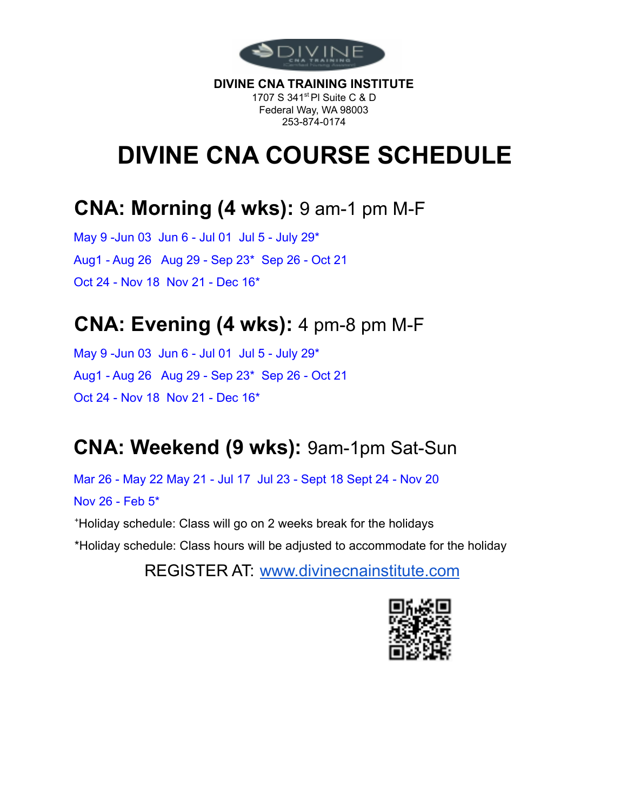

**DIVINE CNA TRAINING INSTITUTE** 1707 S 341<sup>st</sup> PI Suite C & D Federal Way, WA 98003 253-874-0174

# **DIVINE CNA COURSE SCHEDULE**

#### **CNA: Morning (4 wks):** 9 am-1 pm M-F

May 9 -Jun 03 Jun 6 - Jul 01 Jul 5 - July 29\* Aug1 - Aug 26 Aug 29 - Sep 23\* Sep 26 - Oct 21 Oct 24 - Nov 18 Nov 21 - Dec 16\*

### **CNA: Evening (4 wks):** 4 pm-8 pm M-F

May 9 -Jun 03 Jun 6 - Jul 01 Jul 5 - July 29\* Aug1 - Aug 26 Aug 29 - Sep 23\* Sep 26 - Oct 21 Oct 24 - Nov 18 Nov 21 - Dec 16\*

## **CNA: Weekend (9 wks):** 9am-1pm Sat-Sun

Mar 26 - May 22 May 21 - Jul 17 Jul 23 - Sept 18 Sept 24 - Nov 20 Nov 26 - Feb 5\*

<sup>+</sup>Holiday schedule: Class will go on 2 weeks break for the holidays

\*Holiday schedule: Class hours will be adjusted to accommodate for the holiday

REGISTER AT: www.divinecnainstitute.com